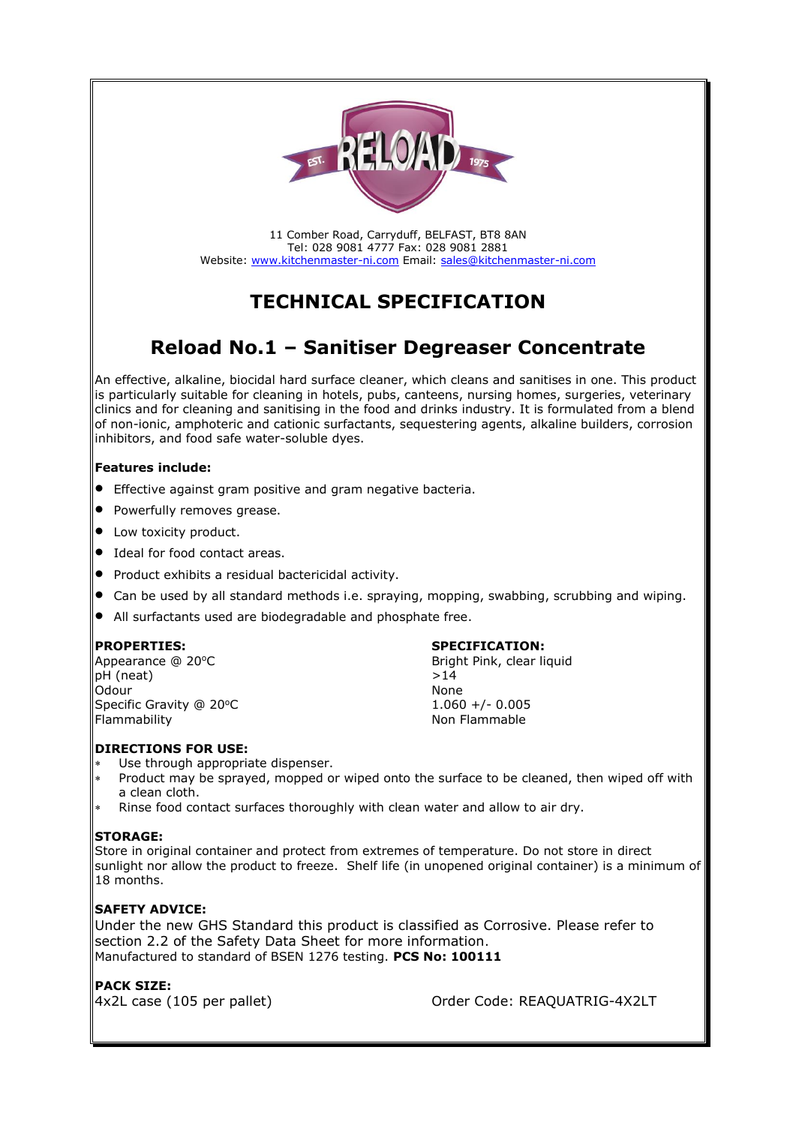

11 Comber Road, Carryduff, BELFAST, BT8 8AN Tel: 028 9081 4777 Fax: 028 9081 2881 Website: [www.kitchenmaster-ni.com](http://www.kitchenmaster-ni.com/) Email: [sales@kitchenmaster-ni.com](mailto:sales@kitchenmaster-ni.com)

# **TECHNICAL SPECIFICATION**

# **Reload No.1 – Sanitiser Degreaser Concentrate**

An effective, alkaline, biocidal hard surface cleaner, which cleans and sanitises in one. This product is particularly suitable for cleaning in hotels, pubs, canteens, nursing homes, surgeries, veterinary clinics and for cleaning and sanitising in the food and drinks industry. It is formulated from a blend of non-ionic, amphoteric and cationic surfactants, sequestering agents, alkaline builders, corrosion inhibitors, and food safe water-soluble dyes.

## **Features include:**

- Effective against gram positive and gram negative bacteria.
- Powerfully removes grease.
- Low toxicity product.
- Ideal for food contact areas.
- Product exhibits a residual bactericidal activity.
- Can be used by all standard methods i.e. spraying, mopping, swabbing, scrubbing and wiping.
- All surfactants used are biodegradable and phosphate free.

pH (neat)  $>14$ Odour None Specific Gravity @ 20°C Flammability **Non Flammable** 

#### **PROPERTIES: SPECIFICATION:**

Appearance @ 20°C Bright Pink, clear liquid  $1.060 +/- 0.005$ 

## **DIRECTIONS FOR USE:**

- Use through appropriate dispenser.
- Product may be sprayed, mopped or wiped onto the surface to be cleaned, then wiped off with a clean cloth.
- Rinse food contact surfaces thoroughly with clean water and allow to air dry.

## **STORAGE:**

Store in original container and protect from extremes of temperature. Do not store in direct sunlight nor allow the product to freeze. Shelf life (in unopened original container) is a minimum of 18 months.

# **SAFETY ADVICE:**

Under the new GHS Standard this product is classified as Corrosive. Please refer to section 2.2 of the Safety Data Sheet for more information. Manufactured to standard of BSEN 1276 testing. **PCS No: 100111**

## **PACK SIZE:**

4x2L case (105 per pallet) Order Code: REAQUATRIG-4X2LT